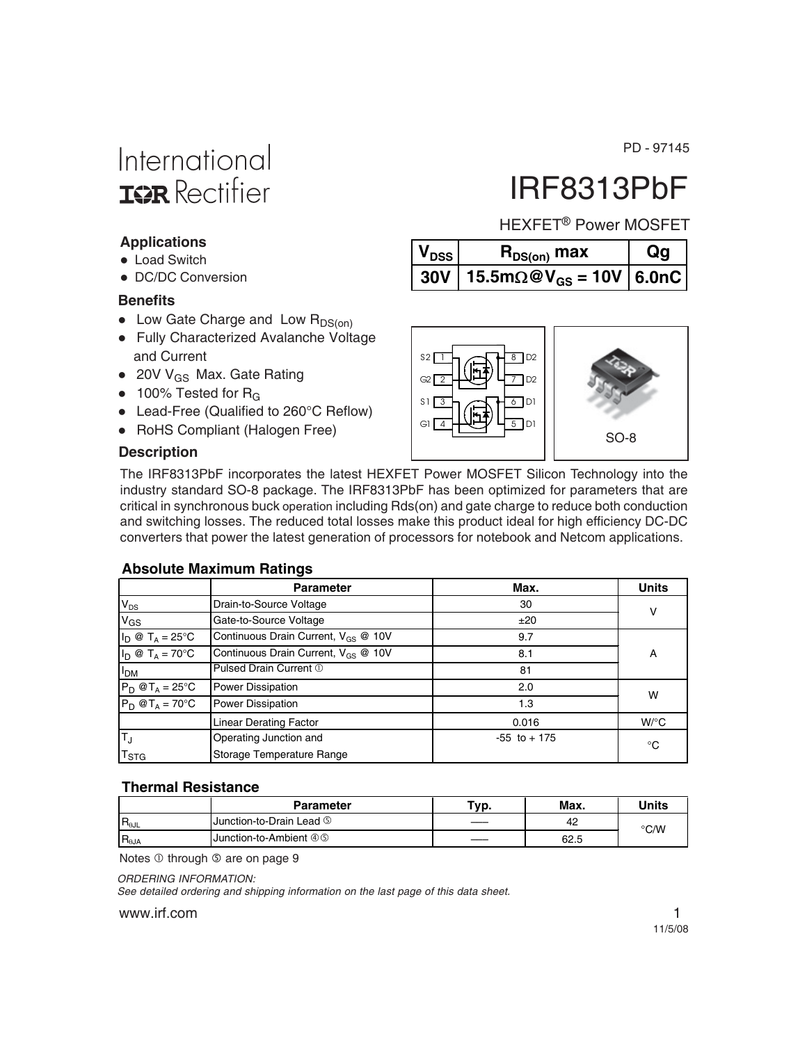-97145

## International **ISR** Rectifier

# HEXFET<sup>®</sup> Power MOSFET

IRF8313PbF

| $V_{DSS}$ | $R_{DS(on)}$ max                                    | Qg |
|-----------|-----------------------------------------------------|----|
|           | 30V   15.5m $\Omega$ @V <sub>GS</sub> = 10V   6.0nC |    |



- 20V V<sub>GS</sub> Max. Gate Rating
- $\bullet$  100% Tested for R<sub>G</sub>
- Lead-Free (Qualified to 260°C Reflow)
- RoHS Compliant (Halogen Free)

#### **Description**

**Benefits**

**Applications** • Load Switch

• DC/DC Conversion

The IRF8313PbF incorporates the latest HEXFET Power MOSFET Silicon Technology into the industry standard SO-8 package. The IRF8313PbF has been optimized for parameters that are critical in synchronous buck operation including Rds(on) and gate charge to reduce both conduction and switching losses. The reduced total losses make this product ideal for high efficiency DC-DC converters that power the latest generation of processors for notebook and Netcom applications.

#### **Absolute Maximum Ratings**

|                                                                                   | <b>Parameter</b>                                | Max.            | <b>Units</b> |  |
|-----------------------------------------------------------------------------------|-------------------------------------------------|-----------------|--------------|--|
| $V_{DS}$                                                                          | Drain-to-Source Voltage                         | 30              | ν            |  |
| $V_{GS}$                                                                          | Gate-to-Source Voltage                          | ±20             |              |  |
| $I_D \otimes T_A = 25$ °C                                                         | Continuous Drain Current, V <sub>GS</sub> @ 10V | 9.7             |              |  |
| $I_D \otimes T_A = 70^\circ C$<br>Continuous Drain Current, V <sub>GS</sub> @ 10V |                                                 | 8.1             | А            |  |
| I <sub>DM</sub>                                                                   | Pulsed Drain Current 1                          | 81              |              |  |
| $P_D$ @T <sub>A</sub> = 25°C                                                      | <b>Power Dissipation</b>                        | 2.0             | W            |  |
| $P_D$ @T <sub>A</sub> = 70°C                                                      | <b>Power Dissipation</b>                        | 1.3             |              |  |
|                                                                                   | Linear Derating Factor                          | 0.016           | $W$ /°C      |  |
| TJ                                                                                | Operating Junction and                          | $-55$ to $+175$ | °C           |  |
| T <sub>STG</sub>                                                                  | Storage Temperature Range                       |                 |              |  |

#### **Thermal Resistance**

|                  | <b>Parameter</b>         | Typ. | Max. | Units |
|------------------|--------------------------|------|------|-------|
| $IR_{\theta JL}$ | Junction-to-Drain Lead ⑤ |      | 42   | °C/W  |
| $R_{\theta JA}$  | Junction-to-Ambient 4 S  |      | 62.5 |       |

Notes  $\overline{0}$  through  $\overline{0}$  are on page 9

*ORDERING INFORMATION:*

*See detailed ordering and shipping information on the last page of this data sheet.*

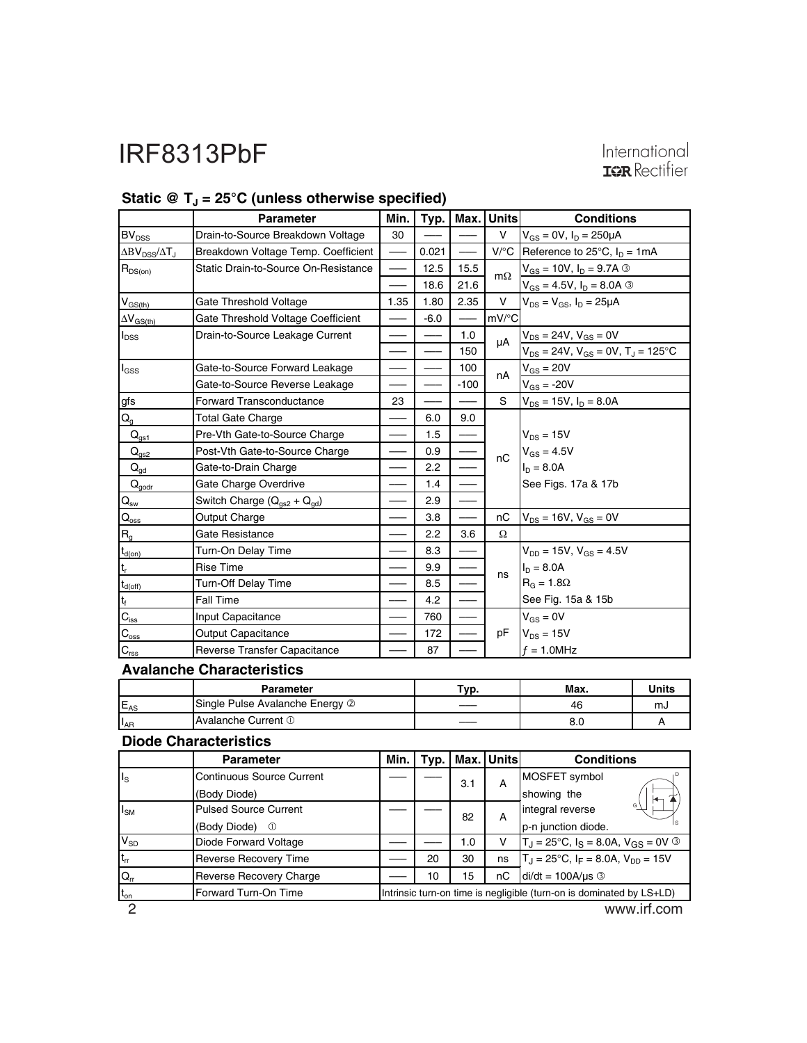# International<br>**IGR** Rectifier

|                                                                                   | <b>Parameter</b>                     | Min. | Typ.   | Max.    | <b>Units</b>         | <b>Conditions</b>                                     |              |
|-----------------------------------------------------------------------------------|--------------------------------------|------|--------|---------|----------------------|-------------------------------------------------------|--------------|
| BV <sub>DSS</sub>                                                                 | Drain-to-Source Breakdown Voltage    | 30   |        |         | V                    | $V_{GS} = 0V$ , $I_D = 250 \mu A$                     |              |
| ΔBV <sub>DSS</sub> /ΔT <sub>J</sub>                                               | Breakdown Voltage Temp. Coefficient  |      | 0.021  |         | $V$ <sup>o</sup> $C$ | Reference to 25 $^{\circ}$ C, $I_{D} = 1$ mA          |              |
| $R_{DS(on)}$                                                                      | Static Drain-to-Source On-Resistance |      | 12.5   | 15.5    | $m\Omega$            | $V_{GS} = 10V, I_D = 9.7A$ 3                          |              |
|                                                                                   |                                      |      | 18.6   | 21.6    |                      | $V_{GS} = 4.5V$ , $I_D = 8.0A$ 3                      |              |
| $V_{GS(th)}$                                                                      | Gate Threshold Voltage               | 1.35 | 1.80   | 2.35    | v                    | $V_{DS} = V_{GS}$ , $I_D = 25 \mu A$                  |              |
| $\Delta V_{GS(th)}$                                                               | Gate Threshold Voltage Coefficient   |      | $-6.0$ |         | mV/°C                |                                                       |              |
| <b>I</b> <sub>DSS</sub>                                                           | Drain-to-Source Leakage Current      |      |        | 1.0     | μA                   | $V_{DS} = 24V, V_{GS} = 0V$                           |              |
|                                                                                   |                                      |      |        | 150     |                      | $V_{DS}$ = 24V, $V_{GS}$ = 0V, T <sub>J</sub> = 125°C |              |
| l <sub>GSS</sub>                                                                  | Gate-to-Source Forward Leakage       |      |        | 100     | nA                   | $V_{GS} = 20V$                                        |              |
|                                                                                   | Gate-to-Source Reverse Leakage       |      |        | $-100$  |                      | $V_{GS} = -20V$                                       |              |
| gfs                                                                               | <b>Forward Transconductance</b>      | 23   |        |         | S                    | $V_{DS}$ = 15V, $I_D$ = 8.0A                          |              |
| $\mathsf{Q}_{\mathsf{g}}$                                                         | <b>Total Gate Charge</b>             |      | 6.0    | $9.0\,$ |                      |                                                       |              |
| $\mathsf{Q}_{\underline{\mathsf{q}\underline{\mathsf{s}}}\underline{\mathsf{1}}}$ | Pre-Vth Gate-to-Source Charge        |      | 1.5    |         |                      | $V_{DS}$ = 15V<br>$V_{GS} = 4.5V$<br>$I_D = 8.0A$     |              |
| $Q_{gs2}$                                                                         | Post-Vth Gate-to-Source Charge       |      | 0.9    |         | nC                   |                                                       |              |
| $Q_{qd}$                                                                          | Gate-to-Drain Charge                 |      | 2.2    |         |                      |                                                       |              |
| $Q_{\underline{\text{godr}}}$                                                     | Gate Charge Overdrive                |      | 1.4    |         |                      | See Figs. 17a & 17b                                   |              |
| $\mathsf{Q}_\mathsf{sw}$                                                          | Switch Charge $(Q_{qs2} + Q_{qd})$   |      | 2.9    |         |                      |                                                       |              |
| $\mathsf{Q}_{\underline{\text{oss}}}$                                             | Output Charge                        |      | 3.8    |         | nC                   | $V_{DS} = 16V, V_{GS} = 0V$                           |              |
| $R_{g}$                                                                           | Gate Resistance                      |      | 2.2    | 3.6     | Ω                    |                                                       |              |
| $\mathsf{t}_{\mathsf{d}(\mathsf{on})}$                                            | Turn-On Delay Time                   |      | 8.3    |         |                      | $V_{DD}$ = 15V, $V_{GS}$ = 4.5V                       |              |
| $t_r$                                                                             | <b>Rise Time</b>                     |      | 9.9    |         | ns                   | $I_D = 8.0A$                                          |              |
| $t_{d(off)}$                                                                      | Turn-Off Delay Time                  |      | 8.5    |         |                      | $R_G = 1.8\Omega$                                     |              |
| $t_f$                                                                             | <b>Fall Time</b>                     |      | 4.2    |         |                      | See Fig. 15a & 15b                                    |              |
| $\mathbf{C}_{\text{iss}}$                                                         | Input Capacitance                    |      | 760    |         |                      | $V_{GS} = 0V$                                         |              |
| $C_{\underline{oss}}$                                                             | Output Capacitance                   |      | 172    |         | pF                   | $V_{DS} = 15V$                                        |              |
| $\mathbf{C}_{\text{rss}}$                                                         | <b>Reverse Transfer Capacitance</b>  |      | 87     |         |                      | $f = 1.0$ MHz                                         |              |
|                                                                                   | <b>Avalanche Characteristics</b>     |      |        |         |                      |                                                       |              |
|                                                                                   | Parameter                            |      |        | Typ.    |                      | Max.                                                  | <b>Units</b> |
| $E_{AS}$                                                                          | Single Pulse Avalanche Energy 2      |      |        |         |                      | 46                                                    | mJ           |
| $I_{AR}$                                                                          | Avalanche Current 1                  |      |        |         |                      | 8.0                                                   | Α            |
| <b>Diode Characteristics</b>                                                      |                                      |      |        |         |                      |                                                       |              |

#### Static @ T<sub>J</sub> = 25°C (unless otherwise specified)

|             | <b>Parameter</b>             | Min.                                                                 | Typ. |             | <b>Max. Unitsl</b> | <b>Conditions</b>                                                        |                  |
|-------------|------------------------------|----------------------------------------------------------------------|------|-------------|--------------------|--------------------------------------------------------------------------|------------------|
| $I_{\rm S}$ | Continuous Source Current    |                                                                      |      | 3.1         | A                  | MOSFET symbol                                                            |                  |
|             | (Body Diode)                 |                                                                      |      | showing the |                    |                                                                          |                  |
| $I_{SM}$    | <b>Pulsed Source Current</b> |                                                                      |      |             | 82                 | A                                                                        | integral reverse |
|             | (Body Diode) ①               |                                                                      |      |             |                    | p-n junction diode.                                                      |                  |
| $V_{SD}$    | Diode Forward Voltage        |                                                                      |      | 1.0         | ν                  | $T_{\rm J}$ = 25°C, $I_{\rm S}$ = 8.0A, $V_{\rm GS}$ = 0V $\circledcirc$ |                  |
| $t_{rr}$    | <b>Reverse Recovery Time</b> |                                                                      | 20   | 30          | ns                 | $T_{\text{J}} = 25^{\circ}C$ , $I_F = 8.0A$ , $V_{\text{DD}} = 15V$      |                  |
| $Q_{rr}$    | Reverse Recovery Charge      |                                                                      | 10   | 15          | пC                 | $di/dt = 100A/\mu s$ 3                                                   |                  |
| $t_{on}$    | Forward Turn-On Time         | Intrinsic turn-on time is negligible (turn-on is dominated by LS+LD) |      |             |                    |                                                                          |                  |
| റ           |                              |                                                                      |      |             |                    | www.irf.com                                                              |                  |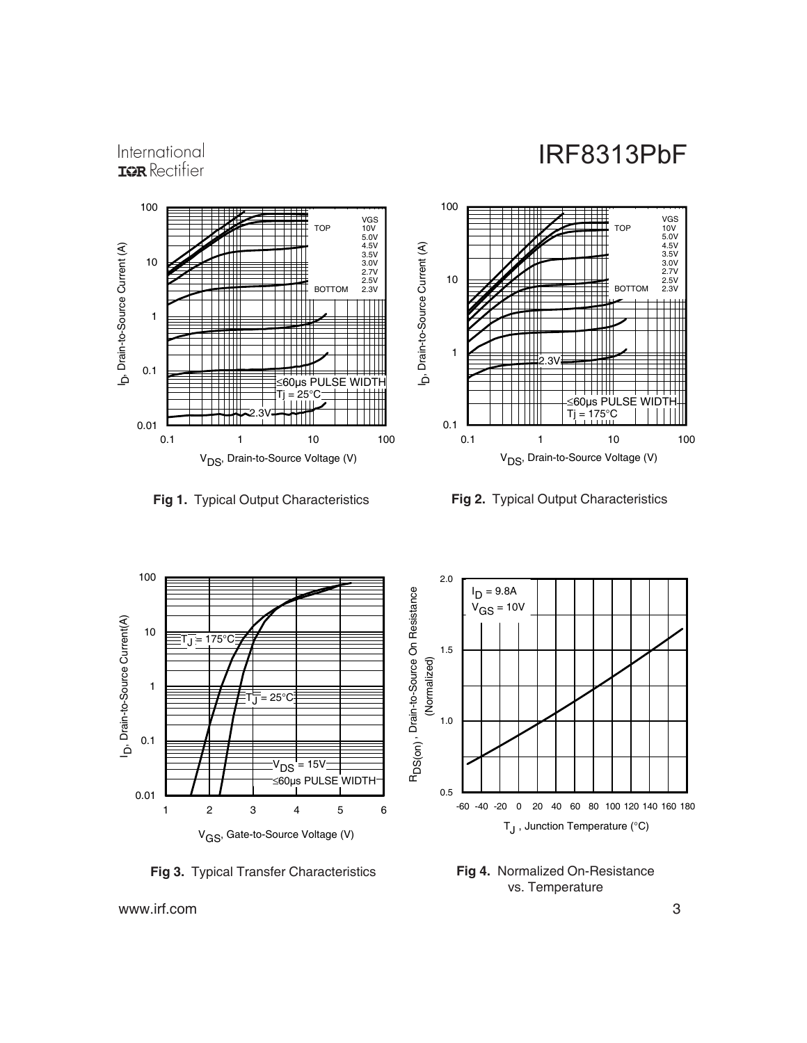#### International **IGR** Rectifier



**Fig 3.** Typical Transfer Characteristics



**Fig 1.** Typical Output Characteristics **Fig 2.** Typical Output Characteristics



**Fig 4.** Normalized On-Resistance vs. Temperature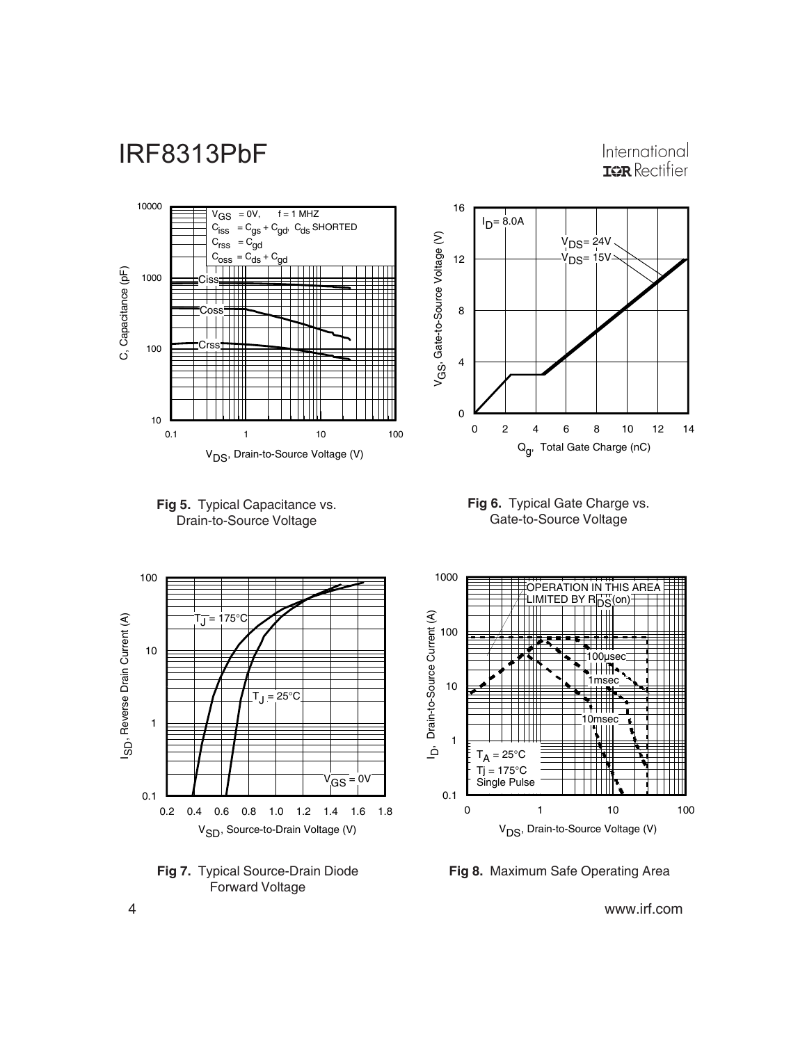International **IGR** Rectifier













**Fig 8.** Maximum Safe Operating Area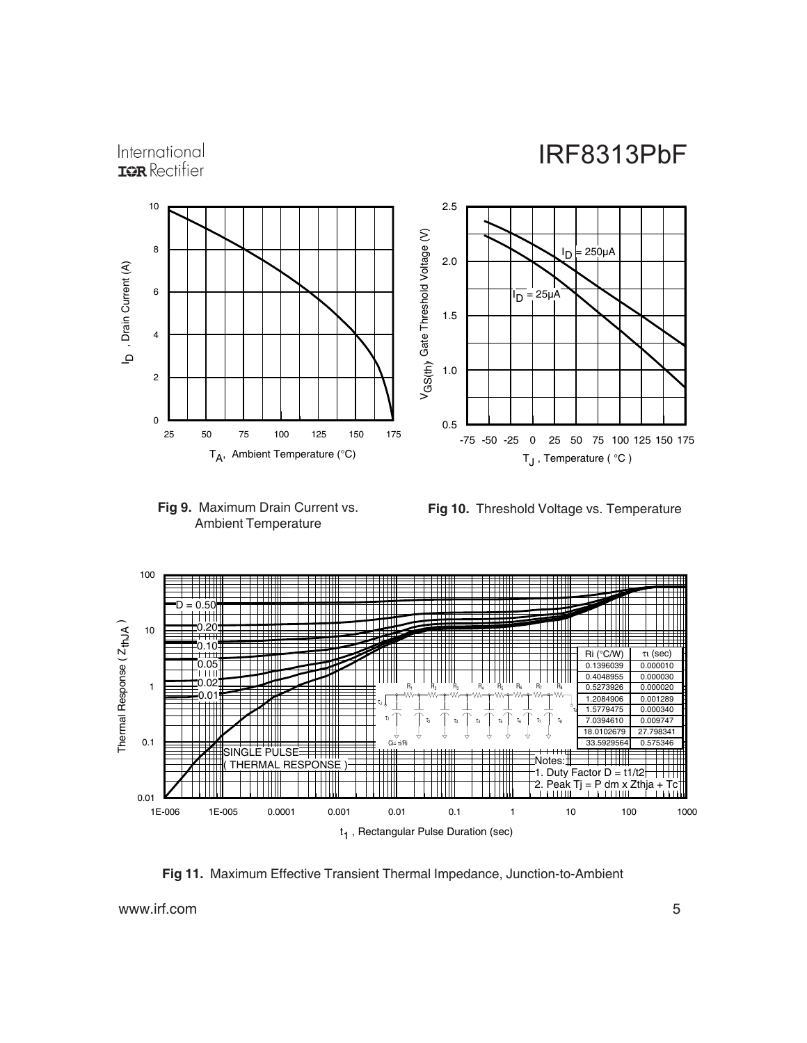#### International **IGR** Rectifier





**Fig 10.** Threshold Voltage vs. Temperature



**Fig 11.** Maximum Effective Transient Thermal Impedance, Junction-to-Ambient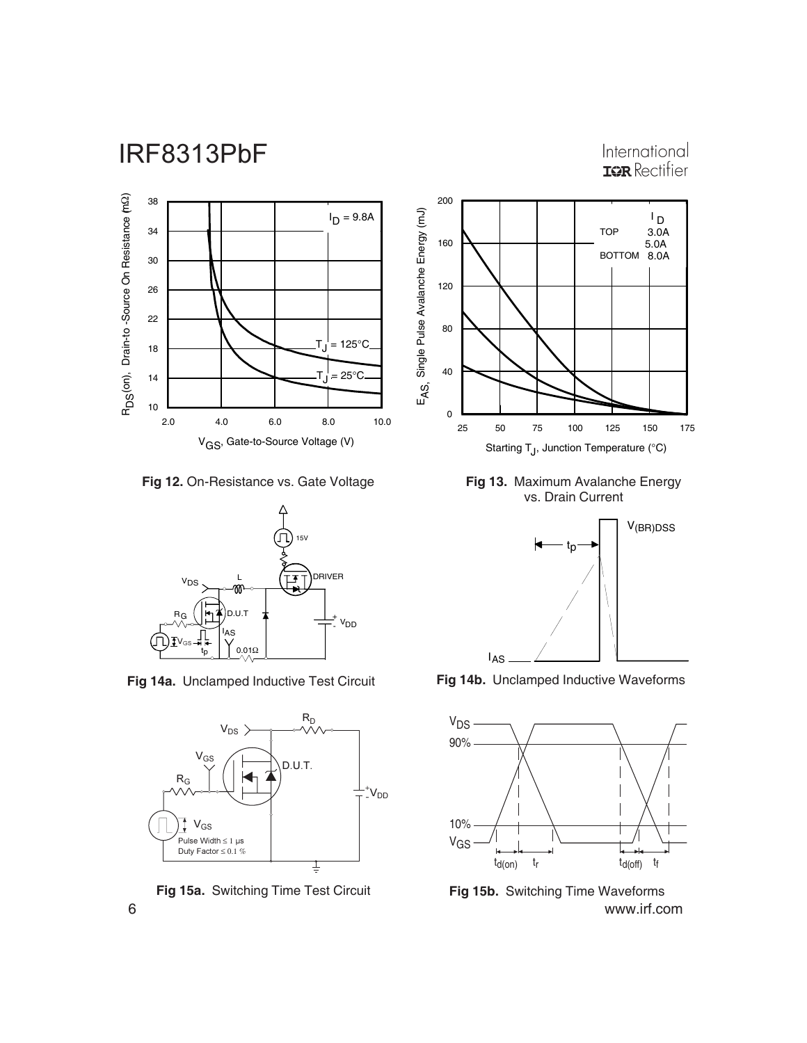#### International **IGR** Rectifier



**Fig 12.** On-Resistance vs. Gate Voltage



**Fig 14a.** Unclamped Inductive Test Circuit





**Fig 13.** Maximum Avalanche Energy vs. Drain Current



**Fig 14b.** Unclamped Inductive Waveforms



6 www.irf.com **Fig 15a.** Switching Time Test Circuit **Fig 15b.** Switching Time Waveforms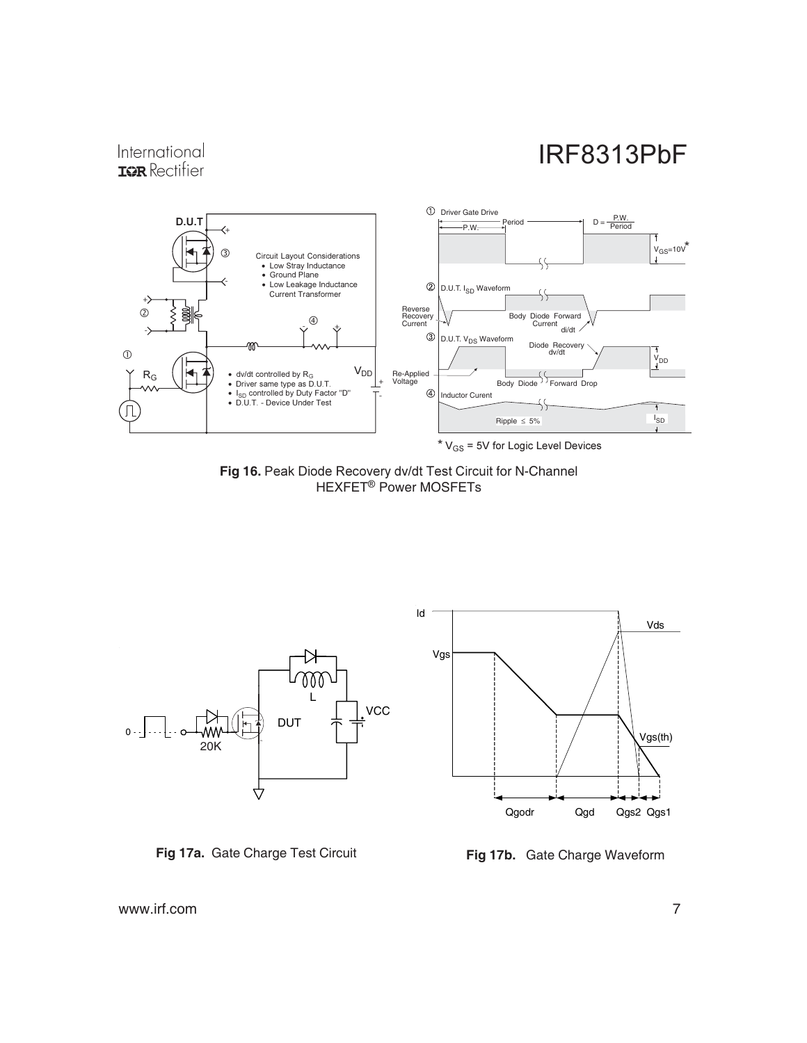#### International **IQR** Rectifier



Fig 16. Peak Diode Recovery dv/dt Test Circuit for N-Channel HEXFET<sup>®</sup> Power MOSFETs



**Fig 17a.** Gate Charge Test Circuit



**Fig 17b.** Gate Charge Waveform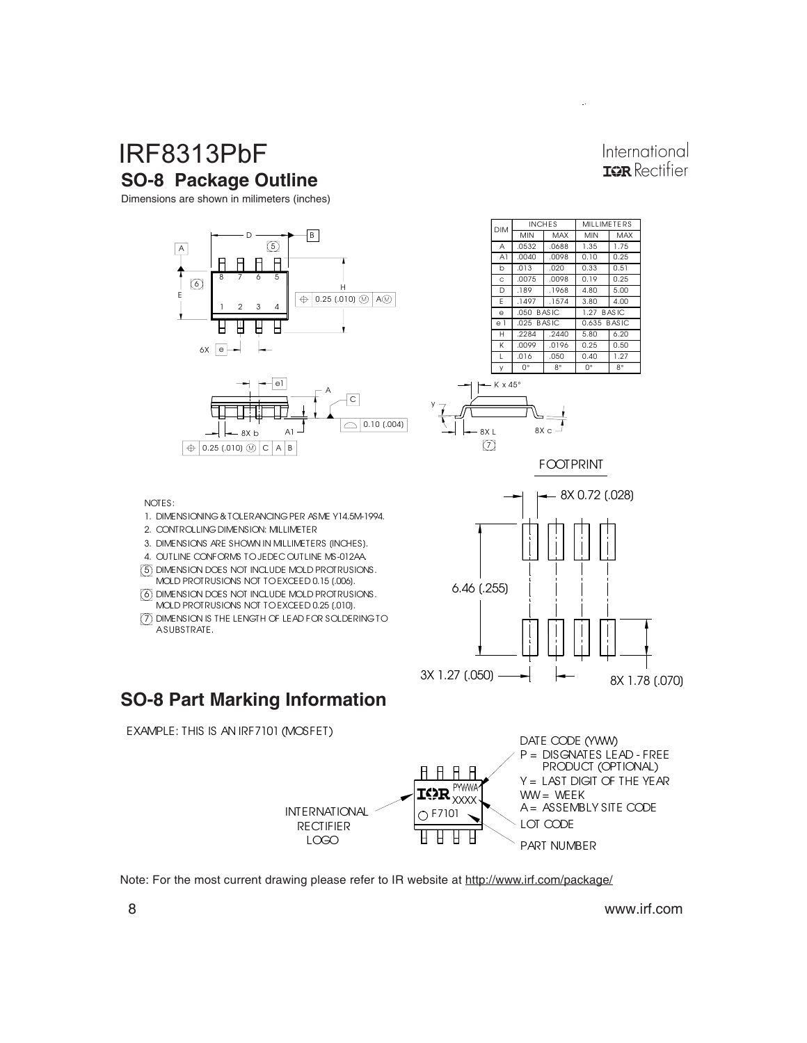### **IRF8313PbF SO-8 Package Outline**

Dimensions are shown in milimeters (inches)





International **TOR** Rectifier



FOOTPRINT



#### **SO-8 Part Marking Information**

4. OUTLINE CONFORMS TO JEDEC OUTLINE MS-012AA.

5 DIMENSION DOES NOT INCLUDE MOLD PROTRUSIONS. 6 DIMENSION DOES NOT INCLUDE MOLD PROTRUSIONS. MOLD PROTRUSIONS NOT TO EXCEED 0.25 [.010]. 7 DIMENSION IS THE LENGTH OF LEAD FOR SOLDERING TO

MOLD PROTRUSIONS NOT TO EXCEED 0.15 [.006].

3. DIMENSIONS ARE SHOWN IN MILLIMETERS [INCHES].

2. CONTROLLING DIMENSION: MILLIMETER

1. DIMENSIONING & TOLERANCING PER ASME Y14.5M-1994.

NOTES:

A SUBSTRATE.

EXAMPLE: THIS IS AN IRF7101 (MOSFET)



Note: For the most current drawing please refer to IR website at http://www.irf.com/package/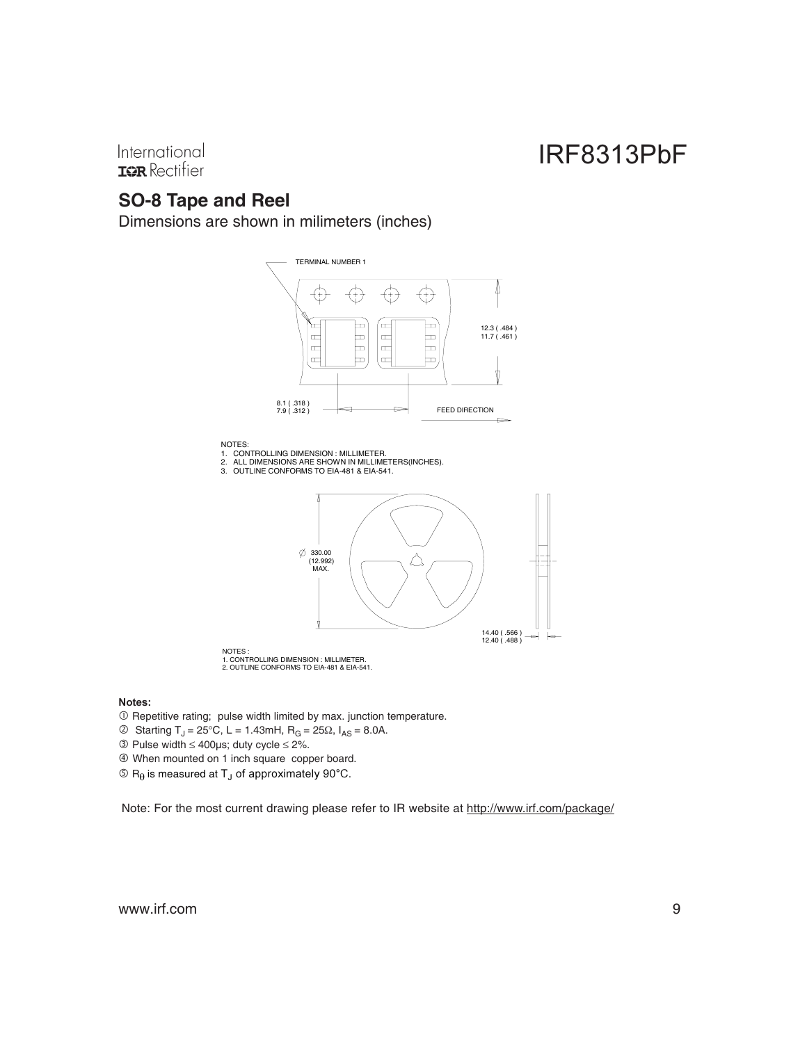International **IOR** Rectifier

### **SO-8 Tape and Reel**

Dimensions are shown in milimeters (inches)



1. CONTROLLING DIMENSION : MILLIMETER. 2. OUTLINE CONFORMS TO EIA-481 & EIA-541.

#### Notes:

- Repetitive rating; pulse width limited by max. junction temperature.

- © Starting T<sub>J</sub> = 25°C, L = 1.43mH, R<sub>G</sub> = 25Ω, I<sub>AS</sub> = 8.0A.
- $\textcircled{3}$  Pulse width  $\leq 400$ µs; duty cycle  $\leq 2\%$ .
- When mounted on 1 inch square copper board.
- $\textcircled{s}$  R<sub> $\theta$ </sub> is measured at T<sub>J</sub> of approximately 90°C.

Note: For the most current drawing please refer to IR website at http://www.irf.com/package/